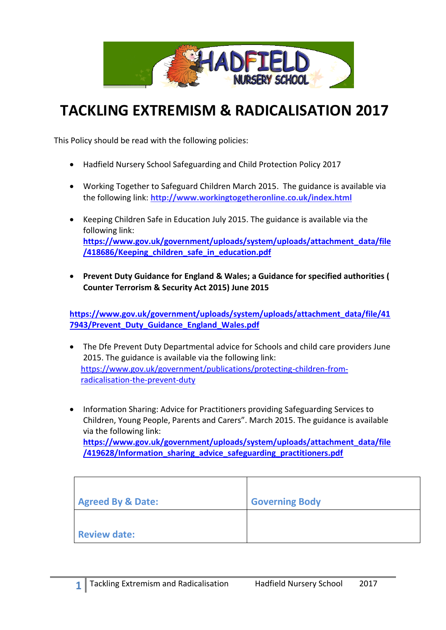

# **TACKLING EXTREMISM & RADICALISATION 2017**

This Policy should be read with the following policies:

- Hadfield Nursery School Safeguarding and Child Protection Policy 2017
- Working Together to Safeguard Children March 2015. The guidance is available via the following link: **<http://www.workingtogetheronline.co.uk/index.html>**
- Keeping Children Safe in Education July 2015. The guidance is available via the following link: **[https://www.gov.uk/government/uploads/system/uploads/attachment\\_data/file](https://www.gov.uk/government/uploads/system/uploads/attachment_data/file/418686/Keeping_children_safe_in_education.pdf) [/418686/Keeping\\_children\\_safe\\_in\\_education.pdf](https://www.gov.uk/government/uploads/system/uploads/attachment_data/file/418686/Keeping_children_safe_in_education.pdf)**
- **Prevent Duty Guidance for England & Wales; a Guidance for specified authorities ( Counter Terrorism & Security Act 2015) June 2015**

**[https://www.gov.uk/government/uploads/system/uploads/attachment\\_data/file/41](https://www.gov.uk/government/uploads/system/uploads/attachment_data/file/417943/Prevent_Duty_Guidance_England_Wales.pdf) [7943/Prevent\\_Duty\\_Guidance\\_England\\_Wales.pdf](https://www.gov.uk/government/uploads/system/uploads/attachment_data/file/417943/Prevent_Duty_Guidance_England_Wales.pdf)**

- The Dfe Prevent Duty Departmental advice for Schools and child care providers June 2015. The guidance is available via the following link: [https://www.gov.uk/government/publications/protecting-children-from](https://www.gov.uk/government/publications/protecting-children-from-radicalisation-the-prevent-duty)[radicalisation-the-prevent-duty](https://www.gov.uk/government/publications/protecting-children-from-radicalisation-the-prevent-duty)
- Information Sharing: Advice for Practitioners providing Safeguarding Services to Children, Young People, Parents and Carers". March 2015. The guidance is available via the following link: **[https://www.gov.uk/government/uploads/system/uploads/attachment\\_data/file](https://www.gov.uk/government/uploads/system/uploads/attachment_data/file/419628/Information_sharing_advice_safeguarding_practitioners.pdf) [/419628/Information\\_sharing\\_advice\\_safeguarding\\_practitioners.pdf](https://www.gov.uk/government/uploads/system/uploads/attachment_data/file/419628/Information_sharing_advice_safeguarding_practitioners.pdf)**

| <b>Agreed By &amp; Date:</b> | <b>Governing Body</b> |
|------------------------------|-----------------------|
|                              |                       |
| <b>Review date:</b>          |                       |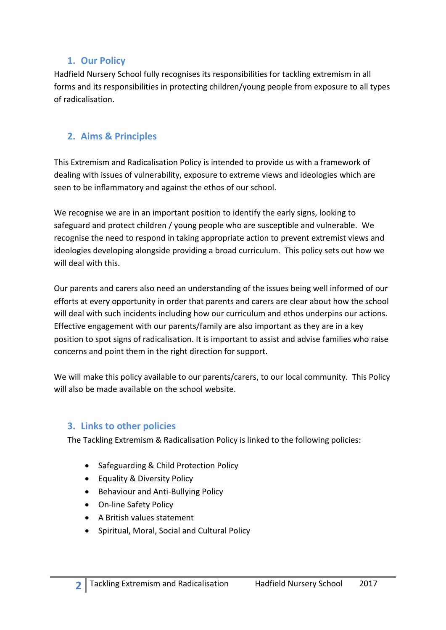#### **1. Our Policy**

Hadfield Nursery School fully recognises its responsibilities for tackling extremism in all forms and its responsibilities in protecting children/young people from exposure to all types of radicalisation.

# **2. Aims & Principles**

This Extremism and Radicalisation Policy is intended to provide us with a framework of dealing with issues of vulnerability, exposure to extreme views and ideologies which are seen to be inflammatory and against the ethos of our school.

We recognise we are in an important position to identify the early signs, looking to safeguard and protect children / young people who are susceptible and vulnerable. We recognise the need to respond in taking appropriate action to prevent extremist views and ideologies developing alongside providing a broad curriculum. This policy sets out how we will deal with this.

Our parents and carers also need an understanding of the issues being well informed of our efforts at every opportunity in order that parents and carers are clear about how the school will deal with such incidents including how our curriculum and ethos underpins our actions. Effective engagement with our parents/family are also important as they are in a key position to spot signs of radicalisation. It is important to assist and advise families who raise concerns and point them in the right direction for support.

We will make this policy available to our parents/carers, to our local community. This Policy will also be made available on the school website.

#### **3. Links to other policies**

The Tackling Extremism & Radicalisation Policy is linked to the following policies:

- Safeguarding & Child Protection Policy
- **•** Equality & Diversity Policy
- **•** Behaviour and Anti-Bullying Policy
- On-line Safety Policy
- A British values statement
- Spiritual, Moral, Social and Cultural Policy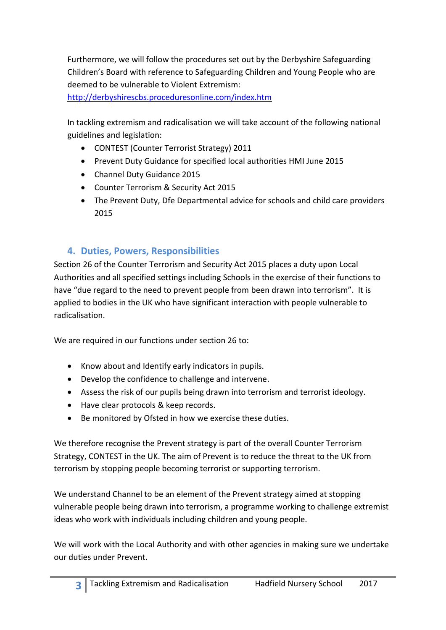Furthermore, we will follow the procedures set out by the Derbyshire Safeguarding Children's Board with reference to Safeguarding Children and Young People who are deemed to be vulnerable to Violent Extremism:

<http://derbyshirescbs.proceduresonline.com/index.htm>

In tackling extremism and radicalisation we will take account of the following national guidelines and legislation:

- CONTEST (Counter Terrorist Strategy) 2011
- Prevent Duty Guidance for specified local authorities HMI June 2015
- Channel Duty Guidance 2015
- Counter Terrorism & Security Act 2015
- The Prevent Duty, Dfe Departmental advice for schools and child care providers 2015

## **4. Duties, Powers, Responsibilities**

Section 26 of the Counter Terrorism and Security Act 2015 places a duty upon Local Authorities and all specified settings including Schools in the exercise of their functions to have "due regard to the need to prevent people from been drawn into terrorism". It is applied to bodies in the UK who have significant interaction with people vulnerable to radicalisation.

We are required in our functions under section 26 to:

- Know about and Identify early indicators in pupils.
- Develop the confidence to challenge and intervene.
- Assess the risk of our pupils being drawn into terrorism and terrorist ideology.
- Have clear protocols & keep records.
- Be monitored by Ofsted in how we exercise these duties.

We therefore recognise the Prevent strategy is part of the overall Counter Terrorism Strategy, CONTEST in the UK. The aim of Prevent is to reduce the threat to the UK from terrorism by stopping people becoming terrorist or supporting terrorism.

We understand Channel to be an element of the Prevent strategy aimed at stopping vulnerable people being drawn into terrorism, a programme working to challenge extremist ideas who work with individuals including children and young people.

We will work with the Local Authority and with other agencies in making sure we undertake our duties under Prevent.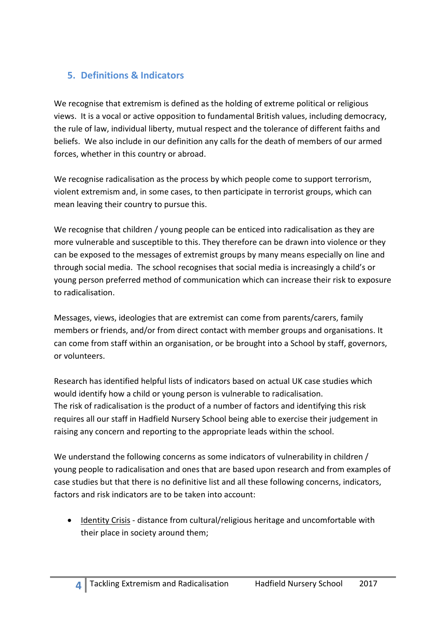# **5. Definitions & Indicators**

We recognise that extremism is defined as the holding of extreme political or religious views. It is a vocal or active opposition to fundamental British values, including democracy, the rule of law, individual liberty, mutual respect and the tolerance of different faiths and beliefs. We also include in our definition any calls for the death of members of our armed forces, whether in this country or abroad.

We recognise radicalisation as the process by which people come to support terrorism, violent extremism and, in some cases, to then participate in terrorist groups, which can mean leaving their country to pursue this.

We recognise that children / young people can be enticed into radicalisation as they are more vulnerable and susceptible to this. They therefore can be drawn into violence or they can be exposed to the messages of extremist groups by many means especially on line and through social media. The school recognises that social media is increasingly a child's or young person preferred method of communication which can increase their risk to exposure to radicalisation.

Messages, views, ideologies that are extremist can come from parents/carers, family members or friends, and/or from direct contact with member groups and organisations. It can come from staff within an organisation, or be brought into a School by staff, governors, or volunteers.

Research has identified helpful lists of indicators based on actual UK case studies which would identify how a child or young person is vulnerable to radicalisation. The risk of radicalisation is the product of a number of factors and identifying this risk requires all our staff in Hadfield Nursery School being able to exercise their judgement in raising any concern and reporting to the appropriate leads within the school.

We understand the following concerns as some indicators of vulnerability in children / young people to radicalisation and ones that are based upon research and from examples of case studies but that there is no definitive list and all these following concerns, indicators, factors and risk indicators are to be taken into account:

 Identity Crisis - distance from cultural/religious heritage and uncomfortable with their place in society around them;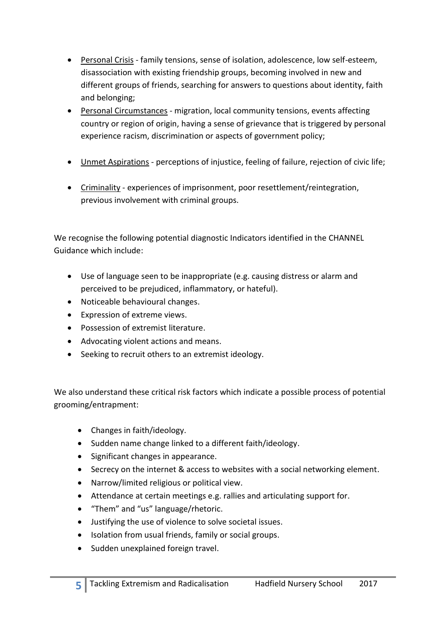- Personal Crisis family tensions, sense of isolation, adolescence, low self-esteem, disassociation with existing friendship groups, becoming involved in new and different groups of friends, searching for answers to questions about identity, faith and belonging;
- Personal Circumstances migration, local community tensions, events affecting country or region of origin, having a sense of grievance that is triggered by personal experience racism, discrimination or aspects of government policy;
- Unmet Aspirations perceptions of injustice, feeling of failure, rejection of civic life;
- Criminality experiences of imprisonment, poor resettlement/reintegration, previous involvement with criminal groups.

We recognise the following potential diagnostic Indicators identified in the CHANNEL Guidance which include:

- Use of language seen to be inappropriate (e.g. causing distress or alarm and perceived to be prejudiced, inflammatory, or hateful).
- Noticeable behavioural changes.
- Expression of extreme views.
- Possession of extremist literature.
- Advocating violent actions and means.
- Seeking to recruit others to an extremist ideology.

We also understand these critical risk factors which indicate a possible process of potential grooming/entrapment:

- Changes in faith/ideology.
- Sudden name change linked to a different faith/ideology.
- Significant changes in appearance.
- Secrecy on the internet & access to websites with a social networking element.
- Narrow/limited religious or political view.
- Attendance at certain meetings e.g. rallies and articulating support for.
- "Them" and "us" language/rhetoric.
- Justifying the use of violence to solve societal issues.
- Isolation from usual friends, family or social groups.
- Sudden unexplained foreign travel.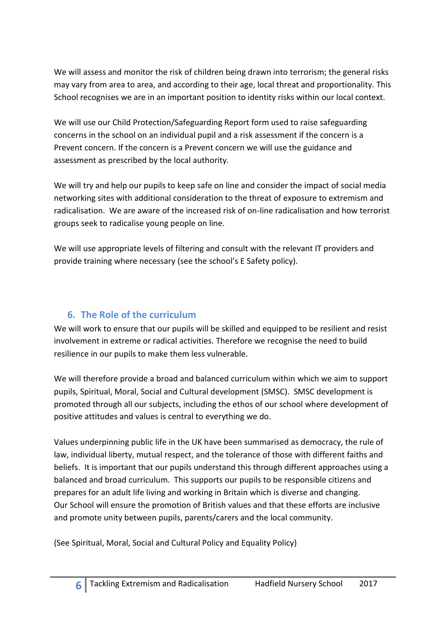We will assess and monitor the risk of children being drawn into terrorism; the general risks may vary from area to area, and according to their age, local threat and proportionality. This School recognises we are in an important position to identity risks within our local context.

We will use our Child Protection/Safeguarding Report form used to raise safeguarding concerns in the school on an individual pupil and a risk assessment if the concern is a Prevent concern. If the concern is a Prevent concern we will use the guidance and assessment as prescribed by the local authority.

We will try and help our pupils to keep safe on line and consider the impact of social media networking sites with additional consideration to the threat of exposure to extremism and radicalisation. We are aware of the increased risk of on-line radicalisation and how terrorist groups seek to radicalise young people on line.

We will use appropriate levels of filtering and consult with the relevant IT providers and provide training where necessary (see the school's E Safety policy).

## **6. The Role of the curriculum**

We will work to ensure that our pupils will be skilled and equipped to be resilient and resist involvement in extreme or radical activities. Therefore we recognise the need to build resilience in our pupils to make them less vulnerable.

We will therefore provide a broad and balanced curriculum within which we aim to support pupils, Spiritual, Moral, Social and Cultural development (SMSC). SMSC development is promoted through all our subjects, including the ethos of our school where development of positive attitudes and values is central to everything we do.

Values underpinning public life in the UK have been summarised as democracy, the rule of law, individual liberty, mutual respect, and the tolerance of those with different faiths and beliefs. It is important that our pupils understand this through different approaches using a balanced and broad curriculum. This supports our pupils to be responsible citizens and prepares for an adult life living and working in Britain which is diverse and changing. Our School will ensure the promotion of British values and that these efforts are inclusive and promote unity between pupils, parents/carers and the local community.

(See Spiritual, Moral, Social and Cultural Policy and Equality Policy)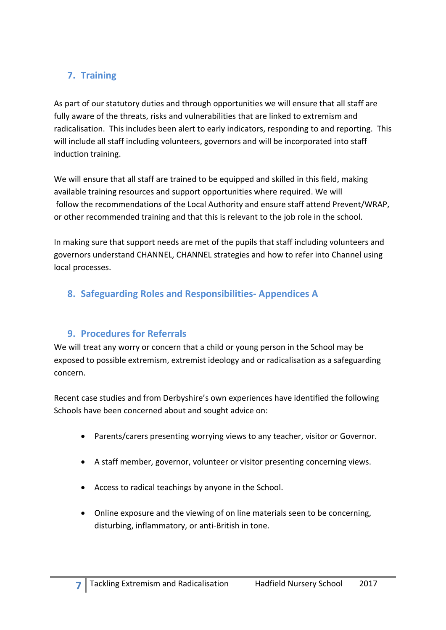# **7. Training**

As part of our statutory duties and through opportunities we will ensure that all staff are fully aware of the threats, risks and vulnerabilities that are linked to extremism and radicalisation. This includes been alert to early indicators, responding to and reporting. This will include all staff including volunteers, governors and will be incorporated into staff induction training.

We will ensure that all staff are trained to be equipped and skilled in this field, making available training resources and support opportunities where required. We will follow the recommendations of the Local Authority and ensure staff attend Prevent/WRAP, or other recommended training and that this is relevant to the job role in the school.

In making sure that support needs are met of the pupils that staff including volunteers and governors understand CHANNEL, CHANNEL strategies and how to refer into Channel using local processes.

# **8. Safeguarding Roles and Responsibilities- Appendices A**

#### **9. Procedures for Referrals**

We will treat any worry or concern that a child or young person in the School may be exposed to possible extremism, extremist ideology and or radicalisation as a safeguarding concern.

Recent case studies and from Derbyshire's own experiences have identified the following Schools have been concerned about and sought advice on:

- Parents/carers presenting worrying views to any teacher, visitor or Governor.
- A staff member, governor, volunteer or visitor presenting concerning views.
- Access to radical teachings by anyone in the School.
- Online exposure and the viewing of on line materials seen to be concerning, disturbing, inflammatory, or anti-British in tone.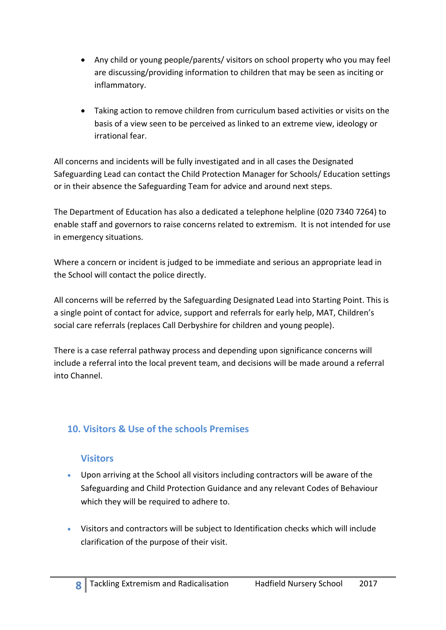- Any child or young people/parents/ visitors on school property who you may feel are discussing/providing information to children that may be seen as inciting or inflammatory.
- Taking action to remove children from curriculum based activities or visits on the basis of a view seen to be perceived as linked to an extreme view, ideology or irrational fear.

All concerns and incidents will be fully investigated and in all cases the Designated Safeguarding Lead can contact the Child Protection Manager for Schools/ Education settings or in their absence the Safeguarding Team for advice and around next steps.

The Department of Education has also a dedicated a telephone helpline (020 7340 7264) to enable staff and governors to raise concerns related to extremism. It is not intended for use in emergency situations.

Where a concern or incident is judged to be immediate and serious an appropriate lead in the School will contact the police directly.

All concerns will be referred by the Safeguarding Designated Lead into Starting Point. This is a single point of contact for advice, support and referrals for early help, MAT, Children's social care referrals (replaces Call Derbyshire for children and young people).

There is a case referral pathway process and depending upon significance concerns will include a referral into the local prevent team, and decisions will be made around a referral into Channel.

#### **10. Visitors & Use of the schools Premises**

#### **Visitors**

- Upon arriving at the School all visitors including contractors will be aware of the Safeguarding and Child Protection Guidance and any relevant Codes of Behaviour which they will be required to adhere to.
- Visitors and contractors will be subject to Identification checks which will include clarification of the purpose of their visit.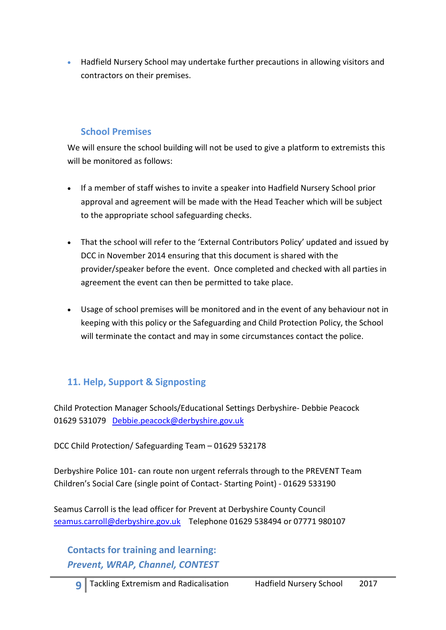Hadfield Nursery School may undertake further precautions in allowing visitors and contractors on their premises.

## **School Premises**

We will ensure the school building will not be used to give a platform to extremists this will be monitored as follows:

- If a member of staff wishes to invite a speaker into Hadfield Nursery School prior approval and agreement will be made with the Head Teacher which will be subject to the appropriate school safeguarding checks.
- That the school will refer to the 'External Contributors Policy' updated and issued by DCC in November 2014 ensuring that this document is shared with the provider/speaker before the event. Once completed and checked with all parties in agreement the event can then be permitted to take place.
- Usage of school premises will be monitored and in the event of any behaviour not in keeping with this policy or the Safeguarding and Child Protection Policy, the School will terminate the contact and may in some circumstances contact the police.

# **11. Help, Support & Signposting**

Child Protection Manager Schools/Educational Settings Derbyshire- Debbie Peacock 01629 531079 [Debbie.peacock@derbyshire.gov.uk](mailto:Debbie.peacock@derbyshire.gov.uk)

DCC Child Protection/ Safeguarding Team – 01629 532178

Derbyshire Police 101- can route non urgent referrals through to the PREVENT Team Children's Social Care (single point of Contact- Starting Point) - 01629 533190

Seamus Carroll is the lead officer for Prevent at Derbyshire County Council [seamus.carroll@derbyshire.gov.uk](mailto:seamus.carroll@derbyshire.gov.uk) Telephone 01629 538494 or 07771 980107

**Contacts for training and learning:**  *Prevent, WRAP, Channel, CONTEST*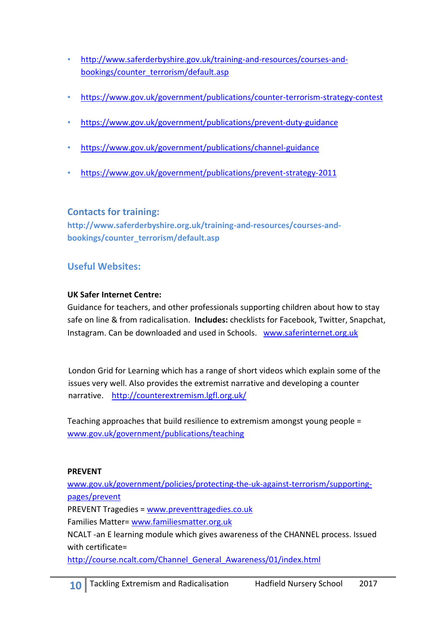- [http://www.saferderbyshire.gov.uk/training-and-resources/courses-and](http://www.saferderbyshire.gov.uk/training-and-resources/courses-and-bookings/counter_terrorism/default.asp)[bookings/counter\\_terrorism/default.asp](http://www.saferderbyshire.gov.uk/training-and-resources/courses-and-bookings/counter_terrorism/default.asp)
- <https://www.gov.uk/government/publications/counter-terrorism-strategy-contest>
- <https://www.gov.uk/government/publications/prevent-duty-guidance>
- <https://www.gov.uk/government/publications/channel-guidance>
- <https://www.gov.uk/government/publications/prevent-strategy-2011>

#### **Contacts for training:**

**http://www.saferderbyshire.org.uk/training-and-resources/courses-andbookings/counter\_terrorism/default.asp**

#### **Useful Websites:**

#### **UK Safer Internet Centre:**

Guidance for teachers, and other professionals supporting children about how to stay safe on line & from radicalisation. **Includes:** checklists for Facebook, Twitter, Snapchat, Instagram. Can be downloaded and used in Schools. [www.saferinternet.org.uk](http://www.saferinternet.org.uk/)

 London Grid for Learning which has a range of short videos which explain some of the issues very well. Also provides the extremist narrative and developing a counter narrative. <http://counterextremism.lgfl.org.uk/>

Teaching approaches that build resilience to extremism amongst young people = [www.gov.uk/government/publications/teaching](http://www.gov.uk/government/publications/teaching)

#### **PREVENT**

[www.gov.uk/government/policies/protecting-the-uk-against-terrorism/supporting](http://www.gov.uk/government/policies/protecting-the-uk-against-terrorism/supporting-pages/prevent)[pages/prevent](http://www.gov.uk/government/policies/protecting-the-uk-against-terrorism/supporting-pages/prevent)

PREVENT Tragedies = [www.preventtragedies.co.uk](http://www.preventtragedies.co.uk/)

Families Matter= [www.familiesmatter.org.uk](http://www.familiesmatter.org.uk/)

NCALT -an E learning module which gives awareness of the CHANNEL process. Issued with certificate=

[http://course.ncalt.com/Channel\\_General\\_Awareness/01/index.html](http://course.ncalt.com/Channel_General_Awareness/01/index.html)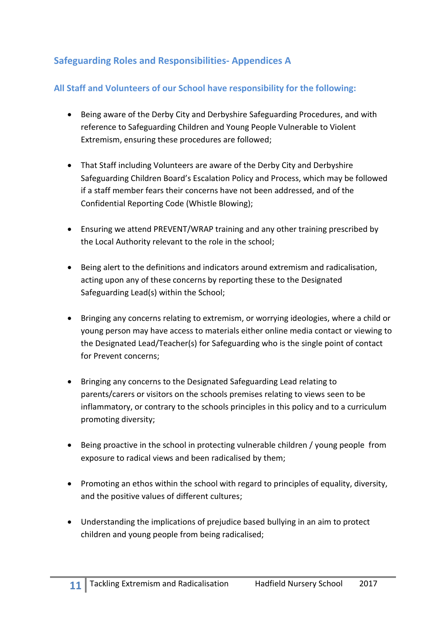# **Safeguarding Roles and Responsibilities- Appendices A**

#### **All Staff and Volunteers of our School have responsibility for the following:**

- Being aware of the Derby City and Derbyshire Safeguarding Procedures, and with reference to Safeguarding Children and Young People Vulnerable to Violent Extremism, ensuring these procedures are followed;
- That Staff including Volunteers are aware of the Derby City and Derbyshire Safeguarding Children Board's Escalation Policy and Process, which may be followed if a staff member fears their concerns have not been addressed, and of the Confidential Reporting Code (Whistle Blowing);
- Ensuring we attend PREVENT/WRAP training and any other training prescribed by the Local Authority relevant to the role in the school;
- Being alert to the definitions and indicators around extremism and radicalisation, acting upon any of these concerns by reporting these to the Designated Safeguarding Lead(s) within the School;
- Bringing any concerns relating to extremism, or worrying ideologies, where a child or young person may have access to materials either online media contact or viewing to the Designated Lead/Teacher(s) for Safeguarding who is the single point of contact for Prevent concerns;
- Bringing any concerns to the Designated Safeguarding Lead relating to parents/carers or visitors on the schools premises relating to views seen to be inflammatory, or contrary to the schools principles in this policy and to a curriculum promoting diversity;
- Being proactive in the school in protecting vulnerable children / young people from exposure to radical views and been radicalised by them;
- Promoting an ethos within the school with regard to principles of equality, diversity, and the positive values of different cultures;
- Understanding the implications of prejudice based bullying in an aim to protect children and young people from being radicalised;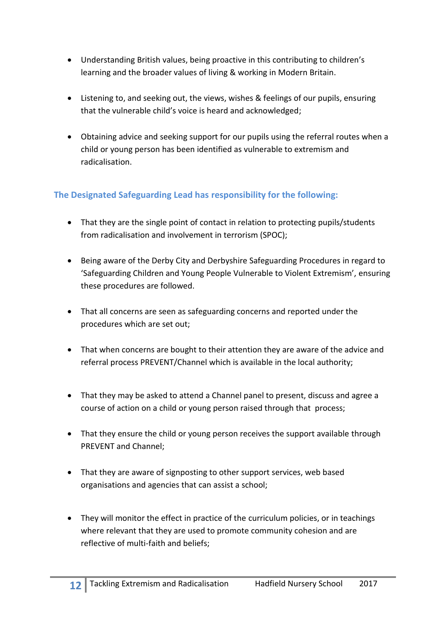- Understanding British values, being proactive in this contributing to children's learning and the broader values of living & working in Modern Britain.
- Listening to, and seeking out, the views, wishes & feelings of our pupils, ensuring that the vulnerable child's voice is heard and acknowledged;
- Obtaining advice and seeking support for our pupils using the referral routes when a child or young person has been identified as vulnerable to extremism and radicalisation.

#### **The Designated Safeguarding Lead has responsibility for the following:**

- That they are the single point of contact in relation to protecting pupils/students from radicalisation and involvement in terrorism (SPOC);
- Being aware of the Derby City and Derbyshire Safeguarding Procedures in regard to 'Safeguarding Children and Young People Vulnerable to Violent Extremism', ensuring these procedures are followed.
- That all concerns are seen as safeguarding concerns and reported under the procedures which are set out;
- That when concerns are bought to their attention they are aware of the advice and referral process PREVENT/Channel which is available in the local authority;
- That they may be asked to attend a Channel panel to present, discuss and agree a course of action on a child or young person raised through that process;
- That they ensure the child or young person receives the support available through PREVENT and Channel;
- That they are aware of signposting to other support services, web based organisations and agencies that can assist a school;
- They will monitor the effect in practice of the curriculum policies, or in teachings where relevant that they are used to promote community cohesion and are reflective of multi-faith and beliefs;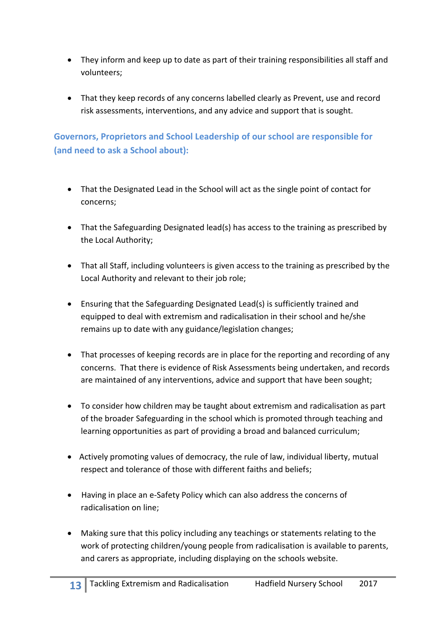- They inform and keep up to date as part of their training responsibilities all staff and volunteers;
- That they keep records of any concerns labelled clearly as Prevent, use and record risk assessments, interventions, and any advice and support that is sought.

## **Governors, Proprietors and School Leadership of our school are responsible for (and need to ask a School about):**

- That the Designated Lead in the School will act as the single point of contact for concerns;
- That the Safeguarding Designated lead(s) has access to the training as prescribed by the Local Authority;
- That all Staff, including volunteers is given access to the training as prescribed by the Local Authority and relevant to their job role;
- Ensuring that the Safeguarding Designated Lead(s) is sufficiently trained and equipped to deal with extremism and radicalisation in their school and he/she remains up to date with any guidance/legislation changes;
- That processes of keeping records are in place for the reporting and recording of any concerns. That there is evidence of Risk Assessments being undertaken, and records are maintained of any interventions, advice and support that have been sought;
- To consider how children may be taught about extremism and radicalisation as part of the broader Safeguarding in the school which is promoted through teaching and learning opportunities as part of providing a broad and balanced curriculum;
- Actively promoting values of democracy, the rule of law, individual liberty, mutual respect and tolerance of those with different faiths and beliefs;
- Having in place an e-Safety Policy which can also address the concerns of radicalisation on line;
- Making sure that this policy including any teachings or statements relating to the work of protecting children/young people from radicalisation is available to parents, and carers as appropriate, including displaying on the schools website.